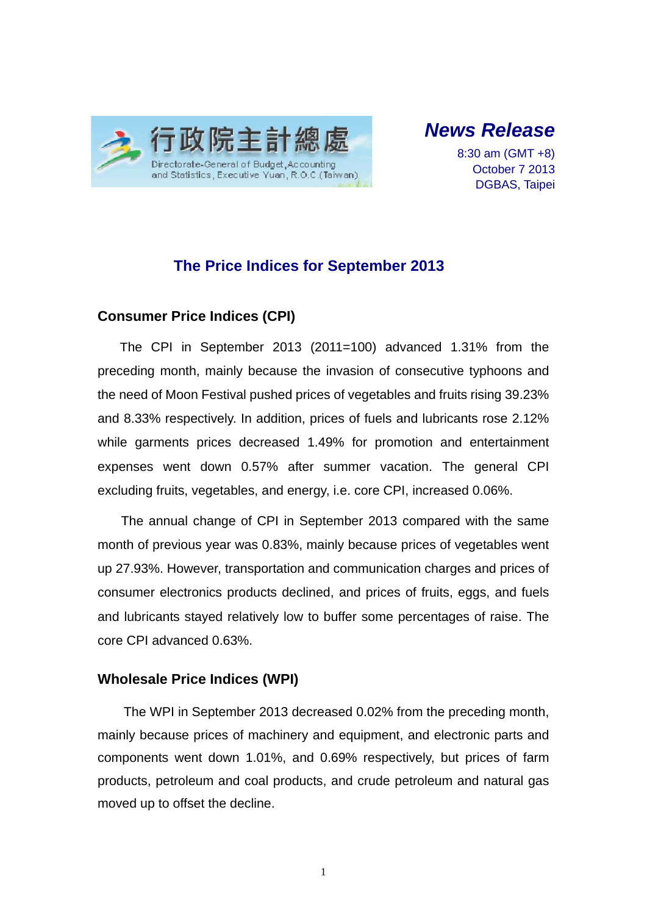

*News Release* 

8:30 am (GMT +8) October 7 2013 DGBAS, Taipei

# **The Price Indices for September 2013**

### **Consumer Price Indices (CPI)**

The CPI in September 2013 (2011=100) advanced 1.31% from the preceding month, mainly because the invasion of consecutive typhoons and the need of Moon Festival pushed prices of vegetables and fruits rising 39.23% and 8.33% respectively. In addition, prices of fuels and lubricants rose 2.12% while garments prices decreased 1.49% for promotion and entertainment expenses went down 0.57% after summer vacation. The general CPI excluding fruits, vegetables, and energy, i.e. core CPI, increased 0.06%.

The annual change of CPI in September 2013 compared with the same month of previous year was 0.83%, mainly because prices of vegetables went up 27.93%. However, transportation and communication charges and prices of consumer electronics products declined, and prices of fruits, eggs, and fuels and lubricants stayed relatively low to buffer some percentages of raise. The core CPI advanced 0.63%.

### **Wholesale Price Indices (WPI)**

The WPI in September 2013 decreased 0.02% from the preceding month, mainly because prices of machinery and equipment, and electronic parts and components went down 1.01%, and 0.69% respectively, but prices of farm products, petroleum and coal products, and crude petroleum and natural gas moved up to offset the decline.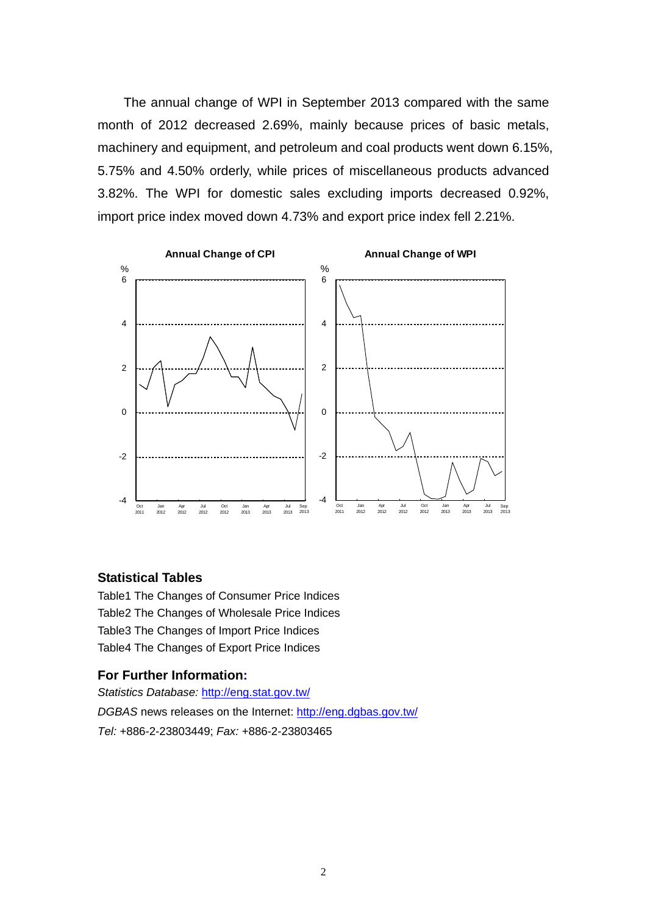The annual change of WPI in September 2013 compared with the same month of 2012 decreased 2.69%, mainly because prices of basic metals, machinery and equipment, and petroleum and coal products went down 6.15%, 5.75% and 4.50% orderly, while prices of miscellaneous products advanced 3.82%. The WPI for domestic sales excluding imports decreased 0.92%, import price index moved down 4.73% and export price index fell 2.21%.



#### **Statistical Tables**

Table1 The Changes of Consumer Price Indices Table2 The Changes of Wholesale Price Indices Table3 The Changes of Import Price Indices Table4 The Changes of Export Price Indices

#### **For Further Information:**

*Statistics Database:* http://eng.stat.gov.tw/ *DGBAS* news releases on the Internet: http://eng.dgbas.gov.tw/ *Tel:* +886-2-23803449; *Fax:* +886-2-23803465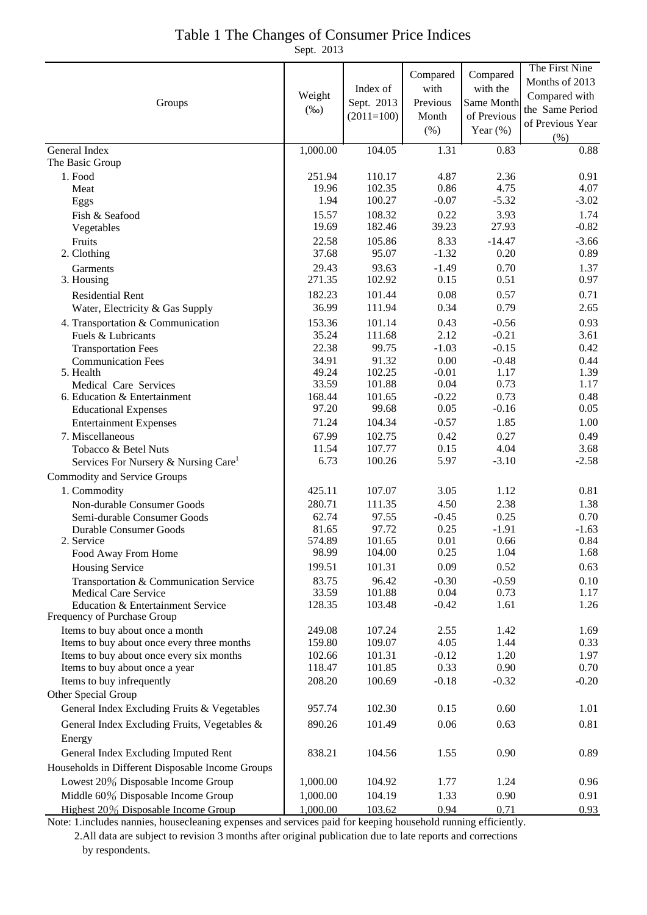## Table 1 The Changes of Consumer Price Indices

Sept. 2013

|                                                                       |                   |                 |                 |                    | The First Nine   |
|-----------------------------------------------------------------------|-------------------|-----------------|-----------------|--------------------|------------------|
|                                                                       | Weight<br>$(\%0)$ |                 | Compared        | Compared           | Months of 2013   |
|                                                                       |                   | Index of        | with            | with the           | Compared with    |
| Groups                                                                |                   | Sept. 2013      | Previous        | Same Month         | the Same Period  |
|                                                                       |                   | $(2011=100)$    | Month           | of Previous        | of Previous Year |
|                                                                       |                   |                 | $(\% )$         | Year $(\%)$        | $(\% )$          |
| General Index                                                         | 1,000.00          | 104.05          | 1.31            | 0.83               | 0.88             |
| The Basic Group                                                       |                   |                 |                 |                    |                  |
| 1. Food                                                               | 251.94            | 110.17          | 4.87            | 2.36               | 0.91             |
| Meat                                                                  | 19.96             | 102.35          | 0.86            | 4.75               | 4.07             |
| Eggs                                                                  | 1.94              | 100.27          | $-0.07$         | $-5.32$            | $-3.02$          |
| Fish & Seafood                                                        | 15.57             | 108.32          | 0.22            | 3.93               | 1.74             |
| Vegetables                                                            | 19.69             | 182.46          | 39.23           | 27.93              | $-0.82$          |
| Fruits                                                                | 22.58             | 105.86          | 8.33            | $-14.47$           | $-3.66$          |
| 2. Clothing                                                           | 37.68             | 95.07           | $-1.32$         | 0.20               | 0.89             |
| Garments                                                              | 29.43             | 93.63           | $-1.49$         | 0.70               | 1.37             |
| 3. Housing                                                            | 271.35            | 102.92          | 0.15            | 0.51               | 0.97             |
| <b>Residential Rent</b>                                               | 182.23            | 101.44          | 0.08            | 0.57               | 0.71             |
| Water, Electricity & Gas Supply                                       | 36.99             | 111.94          | 0.34            | 0.79               | 2.65             |
| 4. Transportation & Communication                                     | 153.36            | 101.14          | 0.43            | $-0.56$            | 0.93             |
| Fuels & Lubricants                                                    | 35.24<br>22.38    | 111.68<br>99.75 | 2.12<br>$-1.03$ | $-0.21$<br>$-0.15$ | 3.61<br>0.42     |
| <b>Transportation Fees</b>                                            | 34.91             | 91.32           | $0.00\,$        | $-0.48$            | 0.44             |
| <b>Communication Fees</b><br>5. Health                                | 49.24             | 102.25          | $-0.01$         | 1.17               | 1.39             |
| Medical Care Services                                                 | 33.59             | 101.88          | 0.04            | 0.73               | 1.17             |
| 6. Education & Entertainment                                          | 168.44            | 101.65          | $-0.22$         | 0.73               | 0.48             |
| <b>Educational Expenses</b>                                           | 97.20             | 99.68           | 0.05            | $-0.16$            | 0.05             |
| <b>Entertainment Expenses</b>                                         | 71.24             | 104.34          | $-0.57$         | 1.85               | 1.00             |
| 7. Miscellaneous                                                      | 67.99             | 102.75          | 0.42            | 0.27               | 0.49             |
| Tobacco & Betel Nuts                                                  | 11.54             | 107.77          | 0.15            | 4.04               | 3.68             |
| Services For Nursery & Nursing Care <sup>1</sup>                      | 6.73              | 100.26          | 5.97            | $-3.10$            | $-2.58$          |
| Commodity and Service Groups                                          |                   |                 |                 |                    |                  |
| 1. Commodity                                                          | 425.11            | 107.07          | 3.05            | 1.12               | 0.81             |
| Non-durable Consumer Goods                                            | 280.71            | 111.35          | 4.50            | 2.38               | 1.38             |
| Semi-durable Consumer Goods                                           | 62.74             | 97.55           | $-0.45$         | 0.25               | 0.70             |
| Durable Consumer Goods                                                | 81.65             | 97.72           | 0.25            | $-1.91$            | $-1.63$          |
| 2. Service                                                            | 574.89            | 101.65          | 0.01            | 0.66               | 0.84             |
| Food Away From Home                                                   | 98.99             | 104.00          | 0.25            | 1.04               | 1.68             |
| Housing Service                                                       | 199.51            | 101.31          | 0.09            | 0.52               | 0.63             |
| Transportation & Communication Service<br><b>Medical Care Service</b> | 83.75<br>33.59    | 96.42<br>101.88 | $-0.30$<br>0.04 | $-0.59$<br>0.73    | 0.10<br>1.17     |
| Education & Entertainment Service                                     | 128.35            | 103.48          | $-0.42$         | 1.61               | 1.26             |
| Frequency of Purchase Group                                           |                   |                 |                 |                    |                  |
| Items to buy about once a month                                       | 249.08            | 107.24          | 2.55            | 1.42               | 1.69             |
| Items to buy about once every three months                            | 159.80            | 109.07          | 4.05            | 1.44               | 0.33             |
| Items to buy about once every six months                              | 102.66            | 101.31          | $-0.12$         | 1.20               | 1.97             |
| Items to buy about once a year                                        | 118.47            | 101.85          | 0.33            | 0.90               | 0.70             |
| Items to buy infrequently                                             | 208.20            | 100.69          | $-0.18$         | $-0.32$            | $-0.20$          |
| Other Special Group                                                   |                   |                 |                 |                    |                  |
| General Index Excluding Fruits & Vegetables                           | 957.74            | 102.30          | 0.15            | 0.60               | 1.01             |
| General Index Excluding Fruits, Vegetables &                          | 890.26            | 101.49          | 0.06            | 0.63               | 0.81             |
| Energy                                                                |                   |                 |                 |                    |                  |
| General Index Excluding Imputed Rent                                  | 838.21            | 104.56          | 1.55            | 0.90               | 0.89             |
| Households in Different Disposable Income Groups                      |                   |                 |                 |                    |                  |
| Lowest 20% Disposable Income Group                                    | 1,000.00          | 104.92          | 1.77            | 1.24               | 0.96             |
| Middle 60% Disposable Income Group                                    | 1,000.00          | 104.19          | 1.33            | 0.90               | 0.91             |
| Highest 20% Disposable Income Group                                   | 1,000.00          | 103.62          | 0.94            | 0.71               | 0.93             |

Note: 1.includes nannies, housecleaning expenses and services paid for keeping household running efficiently. 2.All data are subject to revision 3 months after original publication due to late reports and corrections by respondents.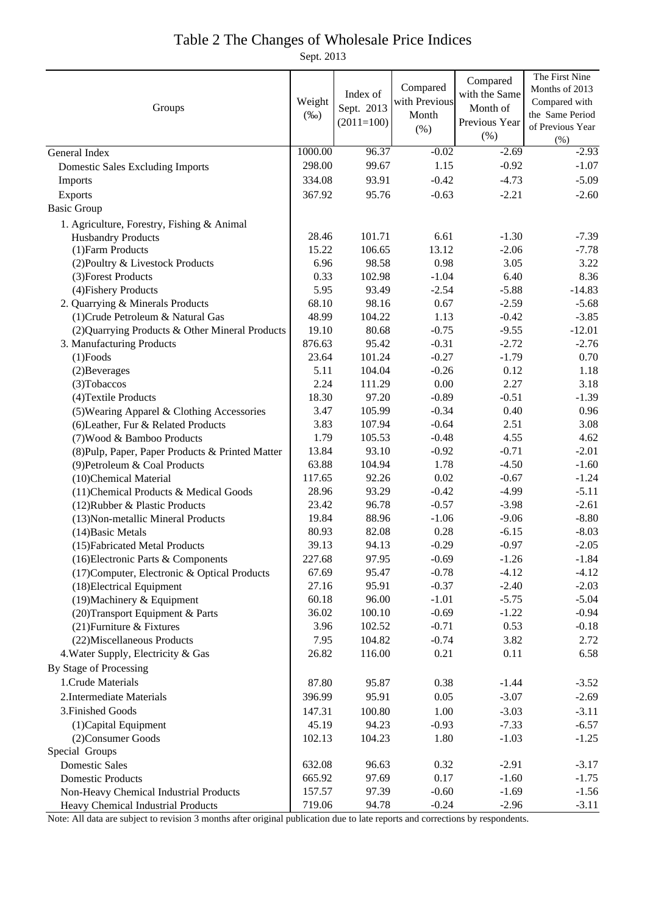## Table 2 The Changes of Wholesale Price Indices

Sept. 2013

|                                                  |         |              |               | Compared      | The First Nine   |
|--------------------------------------------------|---------|--------------|---------------|---------------|------------------|
| Groups                                           |         | Index of     | Compared      | with the Same | Months of 2013   |
|                                                  |         | Sept. 2013   | with Previous | Month of      | Compared with    |
|                                                  |         | $(2011=100)$ | Month         | Previous Year | the Same Period  |
|                                                  |         |              | (% )          | (% )          | of Previous Year |
|                                                  |         |              |               |               | (% )             |
| General Index                                    | 1000.00 | 96.37        | $-0.02$       | $-2.69$       | $-2.93$          |
| <b>Domestic Sales Excluding Imports</b>          | 298.00  | 99.67        | 1.15          | $-0.92$       | $-1.07$          |
| Imports                                          | 334.08  | 93.91        | $-0.42$       | $-4.73$       | $-5.09$          |
| Exports                                          | 367.92  | 95.76        | $-0.63$       | $-2.21$       | $-2.60$          |
| <b>Basic Group</b>                               |         |              |               |               |                  |
| 1. Agriculture, Forestry, Fishing & Animal       |         |              |               |               |                  |
| <b>Husbandry Products</b>                        | 28.46   | 101.71       | 6.61          | $-1.30$       | $-7.39$          |
| (1) Farm Products                                | 15.22   | 106.65       | 13.12         | $-2.06$       | $-7.78$          |
| (2) Poultry & Livestock Products                 | 6.96    | 98.58        | 0.98          | 3.05          | 3.22             |
| (3) Forest Products                              | 0.33    | 102.98       | $-1.04$       | 6.40          | 8.36             |
| (4) Fishery Products                             | 5.95    | 93.49        | $-2.54$       | $-5.88$       | $-14.83$         |
| 2. Quarrying & Minerals Products                 | 68.10   | 98.16        | 0.67          | $-2.59$       | $-5.68$          |
| (1) Crude Petroleum & Natural Gas                | 48.99   | 104.22       | 1.13          | $-0.42$       | $-3.85$          |
| (2) Quarrying Products & Other Mineral Products  | 19.10   | 80.68        | $-0.75$       | $-9.55$       | $-12.01$         |
| 3. Manufacturing Products                        | 876.63  | 95.42        | $-0.31$       | $-2.72$       | $-2.76$          |
| $(1)$ Foods                                      | 23.64   | 101.24       | $-0.27$       | $-1.79$       | 0.70             |
| (2) Beverages                                    | 5.11    | 104.04       | $-0.26$       | 0.12          | 1.18             |
| (3) Tobaccos                                     | 2.24    | 111.29       | $0.00\,$      | 2.27          | 3.18             |
| (4) Textile Products                             | 18.30   | 97.20        | $-0.89$       | $-0.51$       | $-1.39$          |
| (5) Wearing Apparel & Clothing Accessories       | 3.47    | 105.99       | $-0.34$       | 0.40          | 0.96             |
| (6) Leather, Fur & Related Products              | 3.83    | 107.94       | $-0.64$       | 2.51          | 3.08             |
| (7) Wood & Bamboo Products                       | 1.79    | 105.53       | $-0.48$       | 4.55          | 4.62             |
| (8) Pulp, Paper, Paper Products & Printed Matter | 13.84   | 93.10        | $-0.92$       | $-0.71$       | $-2.01$          |
| (9) Petroleum & Coal Products                    | 63.88   | 104.94       | 1.78          | $-4.50$       | $-1.60$          |
| (10)Chemical Material                            | 117.65  | 92.26        | 0.02          | $-0.67$       | $-1.24$          |
| (11) Chemical Products & Medical Goods           | 28.96   | 93.29        | $-0.42$       | $-4.99$       | $-5.11$          |
| (12) Rubber & Plastic Products                   | 23.42   | 96.78        | $-0.57$       | $-3.98$       | $-2.61$          |
| (13) Non-metallic Mineral Products               | 19.84   | 88.96        | $-1.06$       | $-9.06$       | $-8.80$          |
| (14) Basic Metals                                | 80.93   | 82.08        | 0.28          | $-6.15$       | $-8.03$          |
| (15) Fabricated Metal Products                   | 39.13   | 94.13        | $-0.29$       | $-0.97$       | $-2.05$          |
| (16) Electronic Parts & Components               | 227.68  | 97.95        | $-0.69$       | $-1.26$       | $-1.84$          |
| (17) Computer, Electronic & Optical Products     | 67.69   | 95.47        | $-0.78$       | $-4.12$       | $-4.12$          |
| (18) Electrical Equipment                        | 27.16   | 95.91        | $-0.37$       | $-2.40$       | $-2.03$          |
| (19) Machinery & Equipment                       | 60.18   | 96.00        | $-1.01$       | $-5.75$       | $-5.04$          |
| (20) Transport Equipment & Parts                 | 36.02   | 100.10       | $-0.69$       | $-1.22$       | $-0.94$          |
| (21) Furniture & Fixtures                        | 3.96    | 102.52       | $-0.71$       | 0.53          | $-0.18$          |
| (22) Miscellaneous Products                      | 7.95    | 104.82       | $-0.74$       | 3.82          | 2.72             |
| 4. Water Supply, Electricity & Gas               | 26.82   | 116.00       | 0.21          | 0.11          | 6.58             |
| By Stage of Processing                           |         |              |               |               |                  |
| 1. Crude Materials                               | 87.80   | 95.87        | 0.38          | $-1.44$       | $-3.52$          |
| 2. Intermediate Materials                        | 396.99  | 95.91        | 0.05          | $-3.07$       | $-2.69$          |
| 3. Finished Goods                                | 147.31  | 100.80       | 1.00          | $-3.03$       | $-3.11$          |
| (1) Capital Equipment                            | 45.19   | 94.23        | $-0.93$       | $-7.33$       | $-6.57$          |
| (2) Consumer Goods                               | 102.13  | 104.23       | 1.80          | $-1.03$       | $-1.25$          |
| Special Groups                                   |         |              |               |               |                  |
| <b>Domestic Sales</b>                            | 632.08  | 96.63        | 0.32          | $-2.91$       | $-3.17$          |
| <b>Domestic Products</b>                         | 665.92  | 97.69        | 0.17          | $-1.60$       | $-1.75$          |
| Non-Heavy Chemical Industrial Products           | 157.57  | 97.39        | $-0.60$       | $-1.69$       | $-1.56$          |
| Heavy Chemical Industrial Products               | 719.06  | 94.78        | $-0.24$       | $-2.96$       | $-3.11$          |

Note: All data are subject to revision 3 months after original publication due to late reports and corrections by respondents.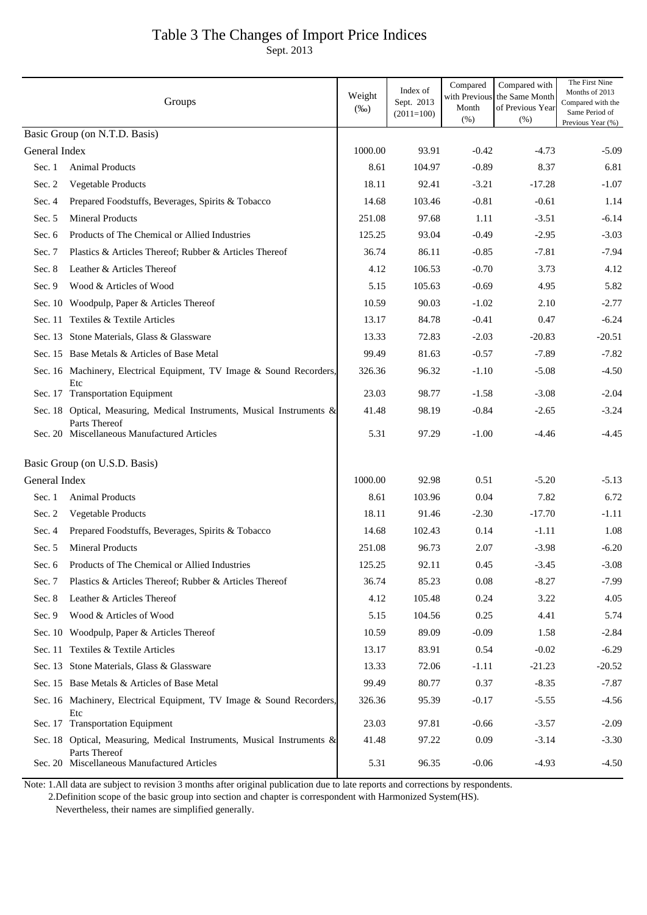# Table 3 The Changes of Import Price Indices

Sept. 2013

|               | Groups                                                                                  | Weight<br>$(\%0)$ | Index of<br>Sept. 2013<br>$(2011=100)$ | Compared<br>with Previou<br>Month<br>(% ) | Compared with<br>the Same Month<br>of Previous Year<br>(% ) | The First Nine<br>Months of 2013<br>Compared with the<br>Same Period of<br>Previous Year (%) |
|---------------|-----------------------------------------------------------------------------------------|-------------------|----------------------------------------|-------------------------------------------|-------------------------------------------------------------|----------------------------------------------------------------------------------------------|
|               | Basic Group (on N.T.D. Basis)                                                           |                   |                                        |                                           |                                                             |                                                                                              |
| General Index |                                                                                         | 1000.00           | 93.91                                  | $-0.42$                                   | $-4.73$                                                     | $-5.09$                                                                                      |
| Sec. 1        | <b>Animal Products</b>                                                                  | 8.61              | 104.97                                 | $-0.89$                                   | 8.37                                                        | 6.81                                                                                         |
| Sec. $2$      | Vegetable Products                                                                      | 18.11             | 92.41                                  | $-3.21$                                   | $-17.28$                                                    | $-1.07$                                                                                      |
| Sec. 4        | Prepared Foodstuffs, Beverages, Spirits & Tobacco                                       | 14.68             | 103.46                                 | $-0.81$                                   | $-0.61$                                                     | 1.14                                                                                         |
| Sec. 5        | <b>Mineral Products</b>                                                                 | 251.08            | 97.68                                  | 1.11                                      | $-3.51$                                                     | $-6.14$                                                                                      |
| Sec. 6        | Products of The Chemical or Allied Industries                                           | 125.25            | 93.04                                  | $-0.49$                                   | $-2.95$                                                     | $-3.03$                                                                                      |
| Sec. 7        | Plastics & Articles Thereof; Rubber & Articles Thereof                                  | 36.74             | 86.11                                  | $-0.85$                                   | $-7.81$                                                     | $-7.94$                                                                                      |
| Sec. 8        | Leather & Articles Thereof                                                              | 4.12              | 106.53                                 | $-0.70$                                   | 3.73                                                        | 4.12                                                                                         |
| Sec. $9$      | Wood & Articles of Wood                                                                 | 5.15              | 105.63                                 | $-0.69$                                   | 4.95                                                        | 5.82                                                                                         |
|               | Sec. 10 Woodpulp, Paper & Articles Thereof                                              | 10.59             | 90.03                                  | $-1.02$                                   | 2.10                                                        | $-2.77$                                                                                      |
|               | Sec. 11 Textiles & Textile Articles                                                     | 13.17             | 84.78                                  | $-0.41$                                   | 0.47                                                        | $-6.24$                                                                                      |
|               | Sec. 13 Stone Materials, Glass & Glassware                                              | 13.33             | 72.83                                  | $-2.03$                                   | $-20.83$                                                    | $-20.51$                                                                                     |
|               | Sec. 15 Base Metals & Articles of Base Metal                                            | 99.49             | 81.63                                  | $-0.57$                                   | $-7.89$                                                     | $-7.82$                                                                                      |
|               | Sec. 16 Machinery, Electrical Equipment, TV Image & Sound Recorders,                    | 326.36            | 96.32                                  | $-1.10$                                   | $-5.08$                                                     | $-4.50$                                                                                      |
|               | Etc<br>Sec. 17 Transportation Equipment                                                 | 23.03             | 98.77                                  | $-1.58$                                   | $-3.08$                                                     | $-2.04$                                                                                      |
|               | Sec. 18 Optical, Measuring, Medical Instruments, Musical Instruments &                  | 41.48             | 98.19                                  | $-0.84$                                   | $-2.65$                                                     | $-3.24$                                                                                      |
|               | Parts Thereof<br>Sec. 20 Miscellaneous Manufactured Articles                            | 5.31              | 97.29                                  | $-1.00$                                   | -4.46                                                       | $-4.45$                                                                                      |
|               | Basic Group (on U.S.D. Basis)                                                           |                   |                                        |                                           |                                                             |                                                                                              |
| General Index |                                                                                         | 1000.00           | 92.98                                  | 0.51                                      | $-5.20$                                                     | $-5.13$                                                                                      |
| Sec. 1        | <b>Animal Products</b>                                                                  | 8.61              | 103.96                                 | 0.04                                      | 7.82                                                        | 6.72                                                                                         |
| Sec. $2$      | <b>Vegetable Products</b>                                                               | 18.11             | 91.46                                  | $-2.30$                                   | $-17.70$                                                    | $-1.11$                                                                                      |
| Sec. 4        | Prepared Foodstuffs, Beverages, Spirits & Tobacco                                       | 14.68             | 102.43                                 | 0.14                                      | $-1.11$                                                     | 1.08                                                                                         |
| Sec. 5        | <b>Mineral Products</b>                                                                 | 251.08            | 96.73                                  | 2.07                                      | $-3.98$                                                     | $-6.20$                                                                                      |
| Sec. 6        | Products of The Chemical or Allied Industries                                           | 125.25            | 92.11                                  | 0.45                                      | $-3.45$                                                     | $-3.08$                                                                                      |
| Sec. 7        | Plastics & Articles Thereof; Rubber & Articles Thereof                                  | 36.74             | 85.23                                  | 0.08                                      | $-8.27$                                                     | $-7.99$                                                                                      |
| Sec. 8        | Leather & Articles Thereof                                                              | 4.12              | 105.48                                 | 0.24                                      | 3.22                                                        | 4.05                                                                                         |
| Sec. 9        | Wood & Articles of Wood                                                                 | 5.15              | 104.56                                 | 0.25                                      | 4.41                                                        | 5.74                                                                                         |
|               | Sec. 10 Woodpulp, Paper & Articles Thereof                                              | 10.59             | 89.09                                  | $-0.09$                                   | 1.58                                                        | $-2.84$                                                                                      |
|               | Sec. 11 Textiles & Textile Articles                                                     | 13.17             | 83.91                                  | 0.54                                      | $-0.02$                                                     | $-6.29$                                                                                      |
|               | Sec. 13 Stone Materials, Glass & Glassware                                              | 13.33             | 72.06                                  | $-1.11$                                   | $-21.23$                                                    | $-20.52$                                                                                     |
|               | Sec. 15 Base Metals & Articles of Base Metal                                            | 99.49             | 80.77                                  | 0.37                                      | $-8.35$                                                     | $-7.87$                                                                                      |
|               | Sec. 16 Machinery, Electrical Equipment, TV Image & Sound Recorders,<br>Etc             | 326.36            | 95.39                                  | $-0.17$                                   | $-5.55$                                                     | $-4.56$                                                                                      |
|               | Sec. 17 Transportation Equipment                                                        | 23.03             | 97.81                                  | $-0.66$                                   | $-3.57$                                                     | $-2.09$                                                                                      |
|               | Sec. 18 Optical, Measuring, Medical Instruments, Musical Instruments &<br>Parts Thereof | 41.48             | 97.22                                  | 0.09                                      | $-3.14$                                                     | $-3.30$                                                                                      |
|               | Sec. 20 Miscellaneous Manufactured Articles                                             | 5.31              | 96.35                                  | $-0.06$                                   | $-4.93$                                                     | $-4.50$                                                                                      |

Note: 1.All data are subject to revision 3 months after original publication due to late reports and corrections by respondents.

 2.Definition scope of the basic group into section and chapter is correspondent with Harmonized System(HS). Nevertheless, their names are simplified generally.